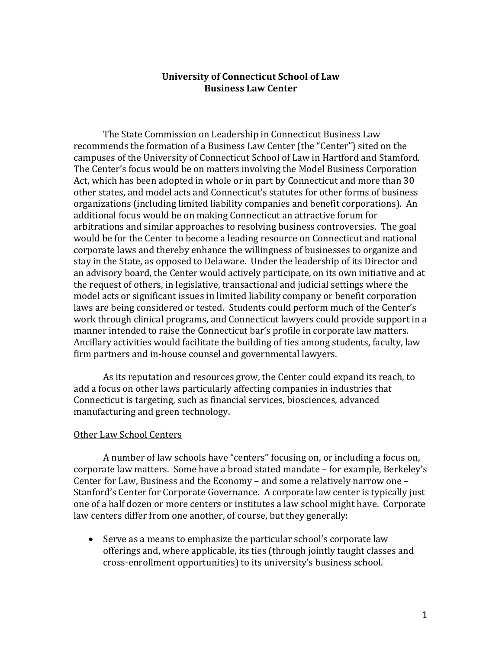## **University of Connecticut School of Law Business Law Center**

The State Commission on Leadership in Connecticut Business Law recommends the formation of a Business Law Center (the "Center") sited on the campuses of the University of Connecticut School of Law in Hartford and Stamford. The Center's focus would be on matters involving the Model Business Corporation Act, which has been adopted in whole or in part by Connecticut and more than 30 other states, and model acts and Connecticut's statutes for other forms of business organizations (including limited liability companies and benefit corporations). An additional focus would be on making Connecticut an attractive forum for arbitrations and similar approaches to resolving business controversies. The goal would be for the Center to become a leading resource on Connecticut and national corporate laws and thereby enhance the willingness of businesses to organize and stay in the State, as opposed to Delaware. Under the leadership of its Director and an advisory board, the Center would actively participate, on its own initiative and at the request of others, in legislative, transactional and judicial settings where the model acts or significant issues in limited liability company or benefit corporation laws are being considered or tested. Students could perform much of the Center's work through clinical programs, and Connecticut lawyers could provide support in a manner intended to raise the Connecticut bar's profile in corporate law matters. Ancillary activities would facilitate the building of ties among students, faculty, law firm partners and in-house counsel and governmental lawyers.

As its reputation and resources grow, the Center could expand its reach, to add a focus on other laws particularly affecting companies in industries that Connecticut is targeting, such as financial services, biosciences, advanced manufacturing and green technology.

### Other Law School Centers

A number of law schools have "centers" focusing on, or including a focus on, corporate law matters. Some have a broad stated mandate – for example, Berkeley's Center for Law, Business and the Economy – and some a relatively narrow one – Stanford's Center for Corporate Governance. A corporate law center is typically just one of a half dozen or more centers or institutes a law school might have. Corporate law centers differ from one another, of course, but they generally:

• Serve as a means to emphasize the particular school's corporate law offerings and, where applicable, its ties (through jointly taught classes and cross-enrollment opportunities) to its university's business school.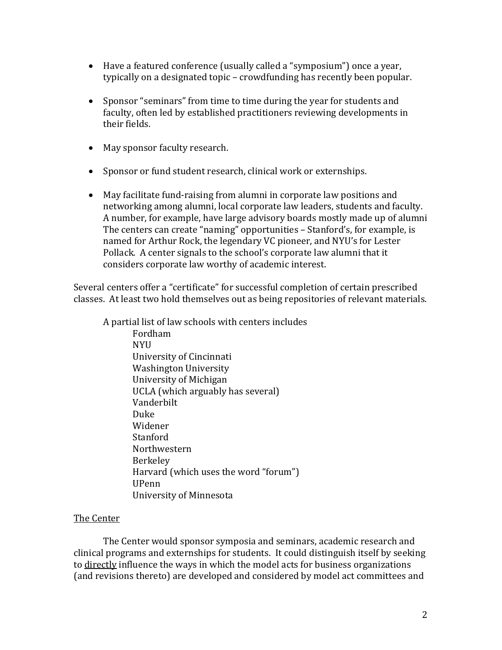- Have a featured conference (usually called a "symposium") once a year, typically on a designated topic – crowdfunding has recently been popular.
- Sponsor "seminars" from time to time during the year for students and faculty, often led by established practitioners reviewing developments in their fields.
- May sponsor faculty research.
- Sponsor or fund student research, clinical work or externships.
- May facilitate fund-raising from alumni in corporate law positions and networking among alumni, local corporate law leaders, students and faculty. A number, for example, have large advisory boards mostly made up of alumni The centers can create "naming" opportunities – Stanford's, for example, is named for Arthur Rock, the legendary VC pioneer, and NYU's for Lester Pollack. A center signals to the school's corporate law alumni that it considers corporate law worthy of academic interest.

Several centers offer a "certificate" for successful completion of certain prescribed classes. At least two hold themselves out as being repositories of relevant materials.

A partial list of law schools with centers includes Fordham **NYII** University of Cincinnati Washington University University of Michigan UCLA (which arguably has several) Vanderbilt Duke Widener **Stanford** Northwestern Berkeley Harvard (which uses the word "forum") UPenn University of Minnesota

# The Center

The Center would sponsor symposia and seminars, academic research and clinical programs and externships for students. It could distinguish itself by seeking to directly influence the ways in which the model acts for business organizations (and revisions thereto) are developed and considered by model act committees and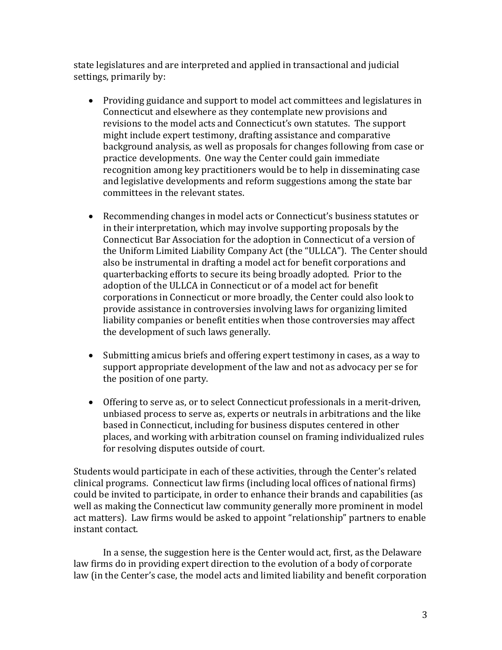state legislatures and are interpreted and applied in transactional and judicial settings, primarily by:

- Providing guidance and support to model act committees and legislatures in Connecticut and elsewhere as they contemplate new provisions and revisions to the model acts and Connecticut's own statutes. The support might include expert testimony, drafting assistance and comparative background analysis, as well as proposals for changes following from case or practice developments. One way the Center could gain immediate recognition among key practitioners would be to help in disseminating case and legislative developments and reform suggestions among the state bar committees in the relevant states.
- Recommending changes in model acts or Connecticut's business statutes or in their interpretation, which may involve supporting proposals by the Connecticut Bar Association for the adoption in Connecticut of a version of the Uniform Limited Liability Company Act (the "ULLCA"). The Center should also be instrumental in drafting a model act for benefit corporations and quarterbacking efforts to secure its being broadly adopted. Prior to the adoption of the ULLCA in Connecticut or of a model act for benefit corporations in Connecticut or more broadly, the Center could also look to provide assistance in controversies involving laws for organizing limited liability companies or benefit entities when those controversies may affect the development of such laws generally.
- Submitting amicus briefs and offering expert testimony in cases, as a way to support appropriate development of the law and not as advocacy per se for the position of one party.
- Offering to serve as, or to select Connecticut professionals in a merit-driven, unbiased process to serve as, experts or neutrals in arbitrations and the like based in Connecticut, including for business disputes centered in other places, and working with arbitration counsel on framing individualized rules for resolving disputes outside of court.

Students would participate in each of these activities, through the Center's related clinical programs. Connecticut law firms (including local offices of national firms) could be invited to participate, in order to enhance their brands and capabilities (as well as making the Connecticut law community generally more prominent in model act matters). Law firms would be asked to appoint "relationship" partners to enable instant contact.

In a sense, the suggestion here is the Center would act, first, as the Delaware law firms do in providing expert direction to the evolution of a body of corporate law (in the Center's case, the model acts and limited liability and benefit corporation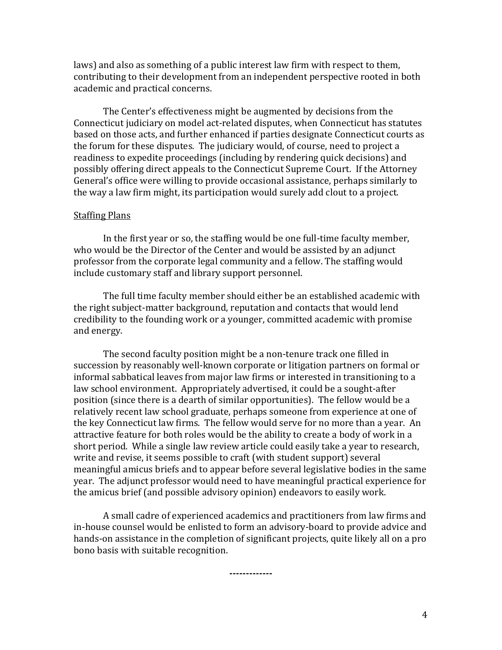laws) and also as something of a public interest law firm with respect to them, contributing to their development from an independent perspective rooted in both academic and practical concerns.

The Center's effectiveness might be augmented by decisions from the Connecticut judiciary on model act-related disputes, when Connecticut has statutes based on those acts, and further enhanced if parties designate Connecticut courts as the forum for these disputes. The judiciary would, of course, need to project a readiness to expedite proceedings (including by rendering quick decisions) and possibly offering direct appeals to the Connecticut Supreme Court. If the Attorney General's office were willing to provide occasional assistance, perhaps similarly to the way a law firm might, its participation would surely add clout to a project.

### Staffing Plans

In the first year or so, the staffing would be one full-time faculty member, who would be the Director of the Center and would be assisted by an adjunct professor from the corporate legal community and a fellow. The staffing would include customary staff and library support personnel.

The full time faculty member should either be an established academic with the right subject-matter background, reputation and contacts that would lend credibility to the founding work or a younger, committed academic with promise and energy.

The second faculty position might be a non-tenure track one filled in succession by reasonably well-known corporate or litigation partners on formal or informal sabbatical leaves from major law firms or interested in transitioning to a law school environment. Appropriately advertised, it could be a sought-after position (since there is a dearth of similar opportunities). The fellow would be a relatively recent law school graduate, perhaps someone from experience at one of the key Connecticut law firms. The fellow would serve for no more than a year. An attractive feature for both roles would be the ability to create a body of work in a short period. While a single law review article could easily take a year to research, write and revise, it seems possible to craft (with student support) several meaningful amicus briefs and to appear before several legislative bodies in the same year. The adjunct professor would need to have meaningful practical experience for the amicus brief (and possible advisory opinion) endeavors to easily work.

A small cadre of experienced academics and practitioners from law firms and in-house counsel would be enlisted to form an advisory-board to provide advice and hands-on assistance in the completion of significant projects, quite likely all on a pro bono basis with suitable recognition.

**-------------**